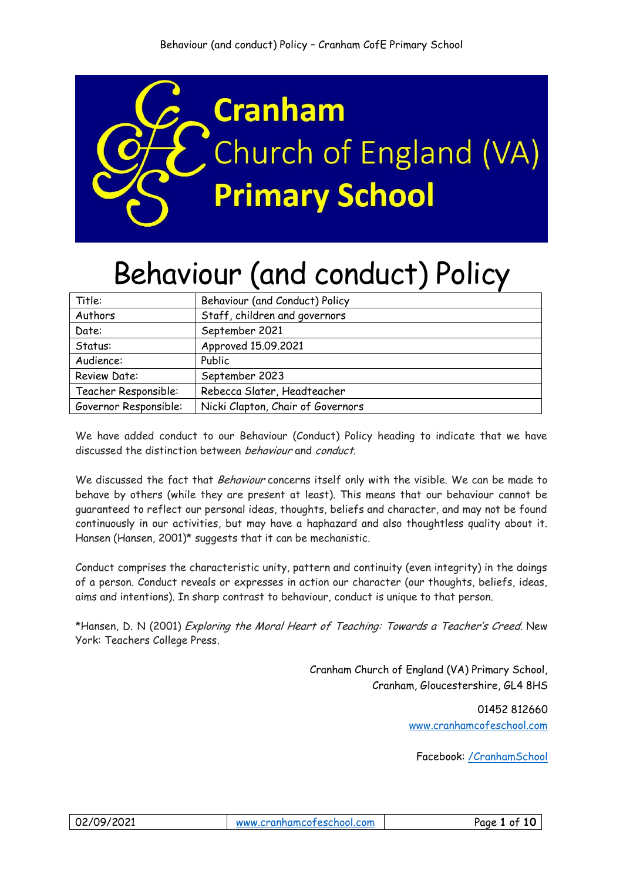

# Behaviour (and conduct) Policy

| Title:                | Behaviour (and Conduct) Policy    |
|-----------------------|-----------------------------------|
| Authors               | Staff, children and governors     |
| Date:                 | September 2021                    |
| Status:               | Approved 15.09.2021               |
| Audience:             | Public                            |
| Review Date:          | September 2023                    |
| Teacher Responsible:  | Rebecca Slater, Headteacher       |
| Governor Responsible: | Nicki Clapton, Chair of Governors |

We have added conduct to our Behaviour (Conduct) Policy heading to indicate that we have discussed the distinction between behaviour and conduct.

We discussed the fact that Behaviour concerns itself only with the visible. We can be made to behave by others (while they are present at least). This means that our behaviour cannot be guaranteed to reflect our personal ideas, thoughts, beliefs and character, and may not be found continuously in our activities, but may have a haphazard and also thoughtless quality about it. Hansen (Hansen, 2001)\* suggests that it can be mechanistic.

Conduct comprises the characteristic unity, pattern and continuity (even integrity) in the doings of a person. Conduct reveals or expresses in action our character (our thoughts, beliefs, ideas, aims and intentions). In sharp contrast to behaviour, conduct is unique to that person.

\*Hansen, D. N (2001) Exploring the Moral Heart of Teaching: Towards a Teacher's Creed. New York: Teachers College Press.

> Cranham Church of England (VA) Primary School, Cranham, Gloucestershire, GL4 8HS

> > 01452 812660 [www.cranhamcofeschool.](http://www.cranhamcofeschool/)com

Facebook: [/CranhamSchool](http://www.facebook.com/CranhamSchool)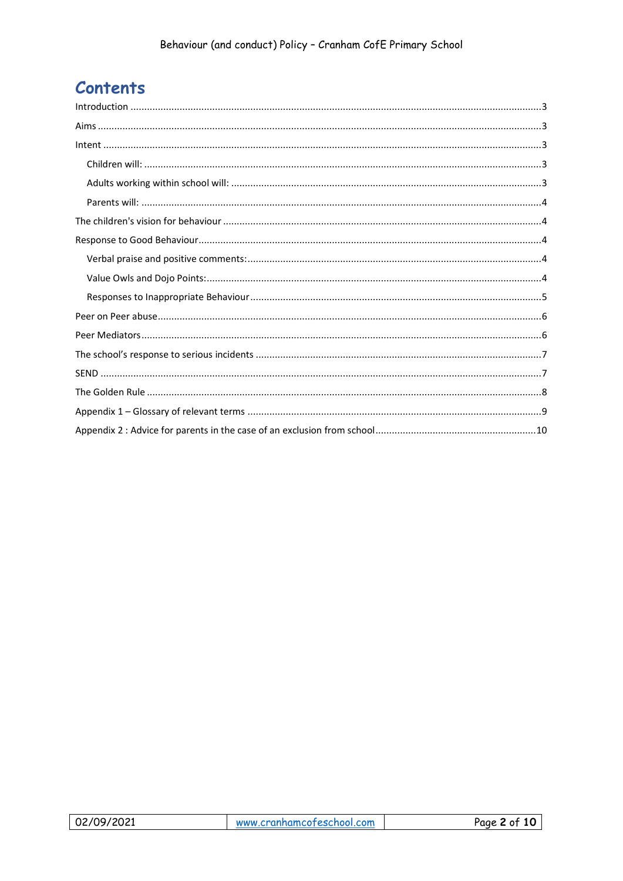# **Contents**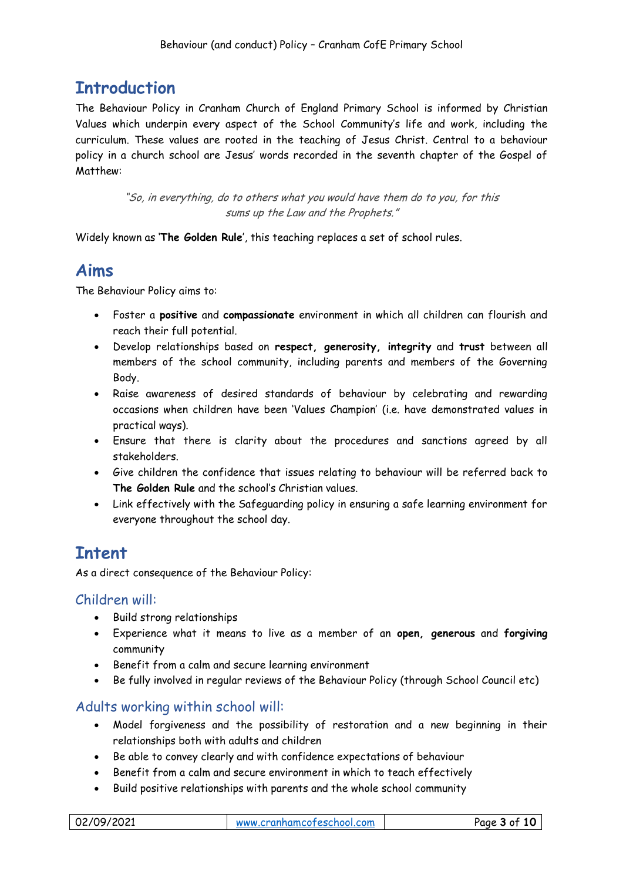# <span id="page-2-0"></span>**Introduction**

The Behaviour Policy in Cranham Church of England Primary School is informed by Christian Values which underpin every aspect of the School Community's life and work, including the curriculum. These values are rooted in the teaching of Jesus Christ. Central to a behaviour policy in a church school are Jesus' words recorded in the seventh chapter of the Gospel of Matthew:

> "So, in everything, do to others what you would have them do to you, for this sums up the Law and the Prophets."

Widely known as '**The Golden Rule**', this teaching replaces a set of school rules.

### <span id="page-2-1"></span>**Aims**

The Behaviour Policy aims to:

- Foster a **positive** and **compassionate** environment in which all children can flourish and reach their full potential.
- Develop relationships based on **respect, generosity, integrity** and **trust** between all members of the school community, including parents and members of the Governing Body.
- Raise awareness of desired standards of behaviour by celebrating and rewarding occasions when children have been 'Values Champion' (i.e. have demonstrated values in practical ways).
- Ensure that there is clarity about the procedures and sanctions agreed by all stakeholders.
- Give children the confidence that issues relating to behaviour will be referred back to **The Golden Rule** and the school's Christian values.
- Link effectively with the Safeguarding policy in ensuring a safe learning environment for everyone throughout the school day.

# <span id="page-2-2"></span>**Intent**

As a direct consequence of the Behaviour Policy:

### <span id="page-2-3"></span>Children will:

- Build strong relationships
- Experience what it means to live as a member of an **open, generous** and **forgiving** community
- Benefit from a calm and secure learning environment
- Be fully involved in regular reviews of the Behaviour Policy (through School Council etc)

### <span id="page-2-4"></span>Adults working within school will:

- Model forgiveness and the possibility of restoration and a new beginning in their relationships both with adults and children
- Be able to convey clearly and with confidence expectations of behaviour
- Benefit from a calm and secure environment in which to teach effectively
- Build positive relationships with parents and the whole school community

| 02/09/2021 | Page 3 of 10<br>www.cranhamcofeschool.com |
|------------|-------------------------------------------|
|------------|-------------------------------------------|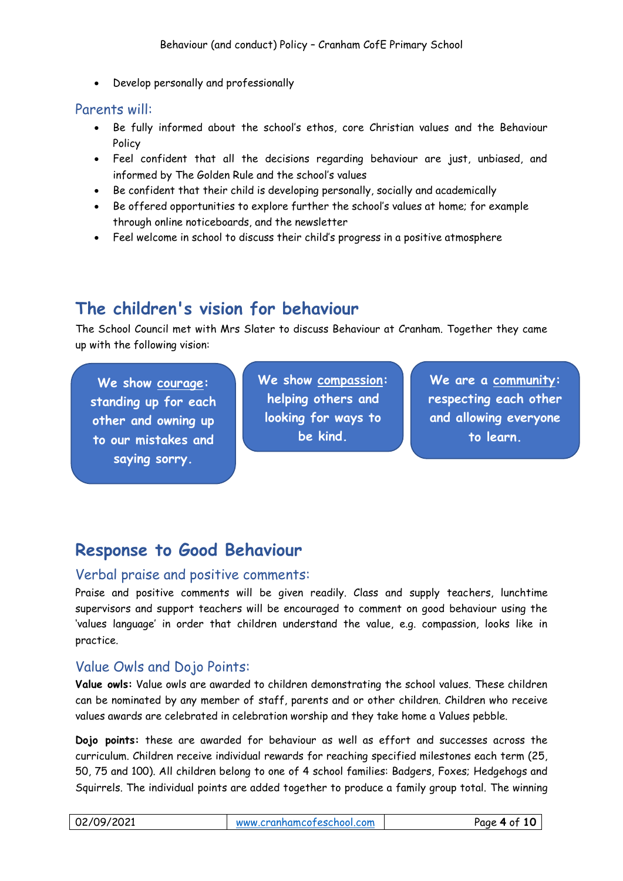Develop personally and professionally

#### <span id="page-3-0"></span>Parents will:

- Be fully informed about the school's ethos, core Christian values and the Behaviour Policy
- Feel confident that all the decisions regarding behaviour are just, unbiased, and informed by The Golden Rule and the school's values
- Be confident that their child is developing personally, socially and academically
- Be offered opportunities to explore further the school's values at home; for example through online noticeboards, and the newsletter
- Feel welcome in school to discuss their child's progress in a positive atmosphere

# <span id="page-3-1"></span>**The children's vision for behaviour**

The School Council met with Mrs Slater to discuss Behaviour at Cranham. Together they came up with the following vision:

**We show courage: standing up for each other and owning up to our mistakes and saying sorry.**

**We show compassion: helping others and looking for ways to be kind.**

**We are a community: respecting each other and allowing everyone to learn.**

# <span id="page-3-2"></span>**Response to Good Behaviour**

#### <span id="page-3-3"></span>Verbal praise and positive comments:

Praise and positive comments will be given readily. Class and supply teachers, lunchtime supervisors and support teachers will be encouraged to comment on good behaviour using the 'values language' in order that children understand the value, e.g. compassion, looks like in practice.

### <span id="page-3-4"></span>Value Owls and Dojo Points:

**Value owls:** Value owls are awarded to children demonstrating the school values. These children can be nominated by any member of staff, parents and or other children. Children who receive values awards are celebrated in celebration worship and they take home a Values pebble.

**Dojo points:** these are awarded for behaviour as well as effort and successes across the curriculum. Children receive individual rewards for reaching specified milestones each term (25, 50, 75 and 100). All children belong to one of 4 school families: Badgers, Foxes; Hedgehogs and Squirrels. The individual points are added together to produce a family group total. The winning

| 02/09/2021 | www.cranhamcofeschool.com | f 10<br>Page 4 of |
|------------|---------------------------|-------------------|
|            |                           |                   |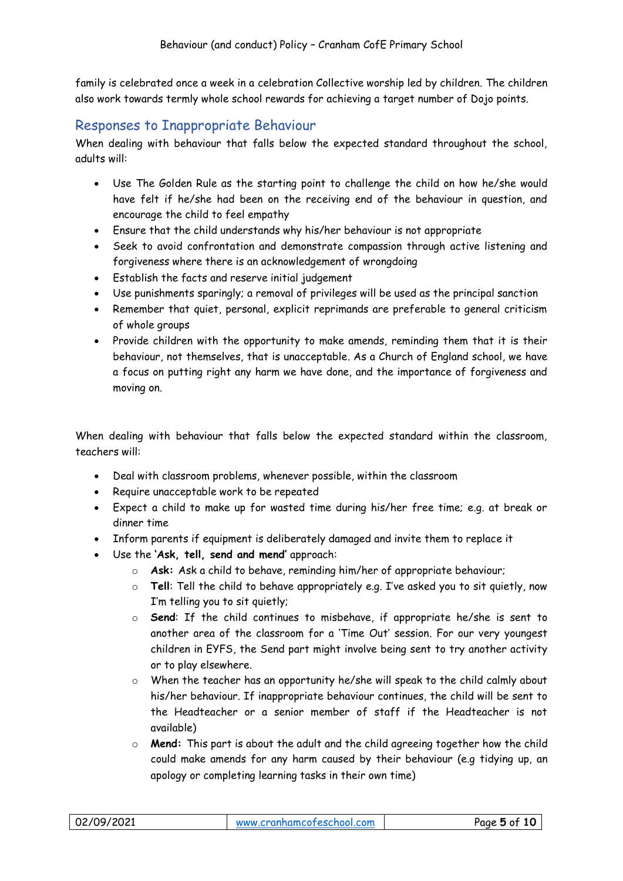family is celebrated once a week in a celebration Collective worship led by children. The children also work towards termly whole school rewards for achieving a target number of Dojo points.

### <span id="page-4-0"></span>Responses to Inappropriate Behaviour

When dealing with behaviour that falls below the expected standard throughout the school, adults will:

- Use The Golden Rule as the starting point to challenge the child on how he/she would have felt if he/she had been on the receiving end of the behaviour in question, and encourage the child to feel empathy
- Ensure that the child understands why his/her behaviour is not appropriate
- Seek to avoid confrontation and demonstrate compassion through active listening and forgiveness where there is an acknowledgement of wrongdoing
- Establish the facts and reserve initial judgement
- Use punishments sparingly; a removal of privileges will be used as the principal sanction
- Remember that quiet, personal, explicit reprimands are preferable to general criticism of whole groups
- Provide children with the opportunity to make amends, reminding them that it is their behaviour, not themselves, that is unacceptable. As a Church of England school, we have a focus on putting right any harm we have done, and the importance of forgiveness and moving on.

When dealing with behaviour that falls below the expected standard within the classroom, teachers will:

- Deal with classroom problems, whenever possible, within the classroom
- Require unacceptable work to be repeated
- Expect a child to make up for wasted time during his/her free time; e.g. at break or dinner time
- Inform parents if equipment is deliberately damaged and invite them to replace it
- Use the **'Ask, tell, send and mend'** approach:
	- o **Ask:** Ask a child to behave, reminding him/her of appropriate behaviour;
	- o **Tell**: Tell the child to behave appropriately e.g. I've asked you to sit quietly, now I'm telling you to sit quietly;
	- o **Send**: If the child continues to misbehave, if appropriate he/she is sent to another area of the classroom for a 'Time Out' session. For our very youngest children in EYFS, the Send part might involve being sent to try another activity or to play elsewhere.
	- o When the teacher has an opportunity he/she will speak to the child calmly about his/her behaviour. If inappropriate behaviour continues, the child will be sent to the Headteacher or a senior member of staff if the Headteacher is not available)
	- o **Mend:** This part is about the adult and the child agreeing together how the child could make amends for any harm caused by their behaviour (e.g tidying up, an apology or completing learning tasks in their own time)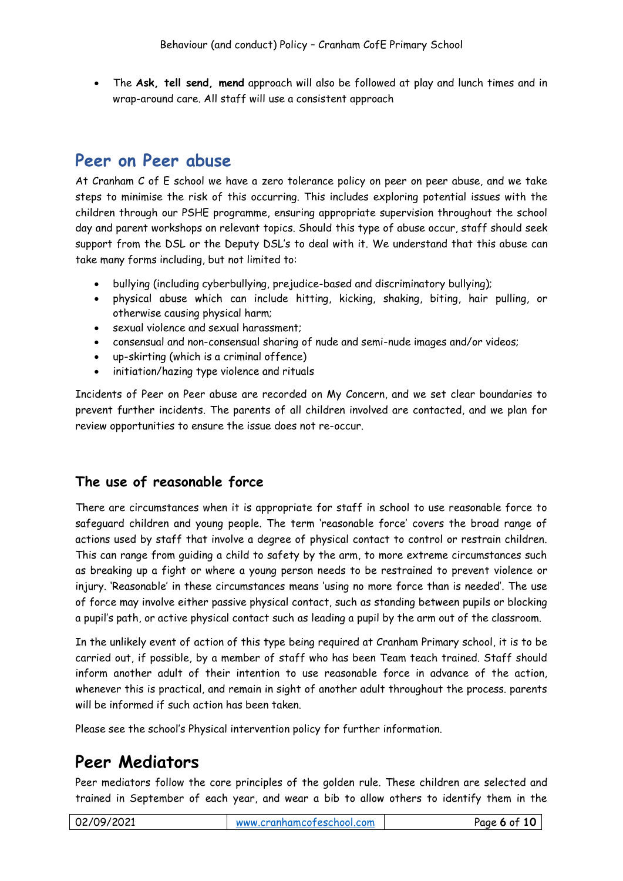The **Ask, tell send, mend** approach will also be followed at play and lunch times and in wrap-around care. All staff will use a consistent approach

## <span id="page-5-0"></span>**Peer on Peer abuse**

At Cranham C of E school we have a zero tolerance policy on peer on peer abuse, and we take steps to minimise the risk of this occurring. This includes exploring potential issues with the children through our PSHE programme, ensuring appropriate supervision throughout the school day and parent workshops on relevant topics. Should this type of abuse occur, staff should seek support from the DSL or the Deputy DSL's to deal with it. We understand that this abuse can take many forms including, but not limited to:

- bullying (including cyberbullying, prejudice-based and discriminatory bullying);
- physical abuse which can include hitting, kicking, shaking, biting, hair pulling, or otherwise causing physical harm;
- sexual violence and sexual harassment;
- consensual and non-consensual sharing of nude and semi-nude images and/or videos;
- up-skirting (which is a criminal offence)
- initiation/hazing type violence and rituals

Incidents of Peer on Peer abuse are recorded on My Concern, and we set clear boundaries to prevent further incidents. The parents of all children involved are contacted, and we plan for review opportunities to ensure the issue does not re-occur.

### **The use of reasonable force**

There are circumstances when it is appropriate for staff in school to use reasonable force to safeguard children and young people. The term 'reasonable force' covers the broad range of actions used by staff that involve a degree of physical contact to control or restrain children. This can range from guiding a child to safety by the arm, to more extreme circumstances such as breaking up a fight or where a young person needs to be restrained to prevent violence or injury. 'Reasonable' in these circumstances means 'using no more force than is needed'. The use of force may involve either passive physical contact, such as standing between pupils or blocking a pupil's path, or active physical contact such as leading a pupil by the arm out of the classroom.

In the unlikely event of action of this type being required at Cranham Primary school, it is to be carried out, if possible, by a member of staff who has been Team teach trained. Staff should inform another adult of their intention to use reasonable force in advance of the action, whenever this is practical, and remain in sight of another adult throughout the process. parents will be informed if such action has been taken.

Please see the school's Physical intervention policy for further information.

# <span id="page-5-1"></span>**Peer Mediators**

Peer mediators follow the core principles of the golden rule. These children are selected and trained in September of each year, and wear a bib to allow others to identify them in the

| 02/09/2021 | www.cranhamcofeschool.com | Page 6 of 10 |
|------------|---------------------------|--------------|
|            |                           |              |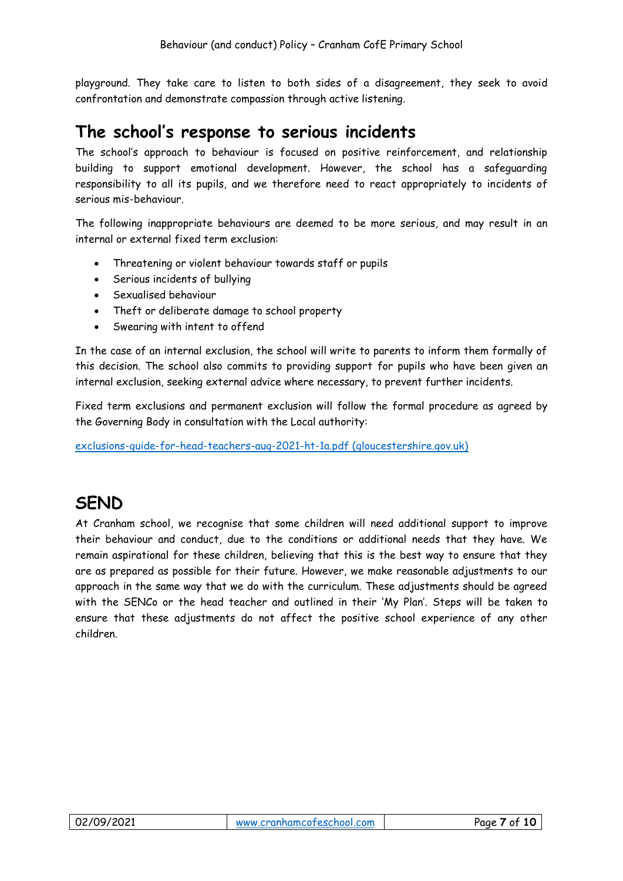playground. They take care to listen to both sides of a disagreement, they seek to avoid confrontation and demonstrate compassion through active listening.

### <span id="page-6-0"></span>**The school's response to serious incidents**

The school's approach to behaviour is focused on positive reinforcement, and relationship building to support emotional development. However, the school has a safeguarding responsibility to all its pupils, and we therefore need to react appropriately to incidents of serious mis-behaviour.

The following inappropriate behaviours are deemed to be more serious, and may result in an internal or external fixed term exclusion:

- Threatening or violent behaviour towards staff or pupils
- Serious incidents of bullying
- Sexualised behaviour
- Theft or deliberate damage to school property
- Swearing with intent to offend

In the case of an internal exclusion, the school will write to parents to inform them formally of this decision. The school also commits to providing support for pupils who have been given an internal exclusion, seeking external advice where necessary, to prevent further incidents.

Fixed term exclusions and permanent exclusion will follow the formal procedure as agreed by the Governing Body in consultation with the Local authority:

[exclusions-guide-for-head-teachers-aug-2021-ht-1a.pdf \(gloucestershire.gov.uk\)](https://www.gloucestershire.gov.uk/media/2108944/exclusions-guide-for-head-teachers-aug-2021-ht-1a.pdf)

# <span id="page-6-1"></span>**SEND**

At Cranham school, we recognise that some children will need additional support to improve their behaviour and conduct, due to the conditions or additional needs that they have. We remain aspirational for these children, believing that this is the best way to ensure that they are as prepared as possible for their future. However, we make reasonable adjustments to our approach in the same way that we do with the curriculum. These adjustments should be agreed with the SENCo or the head teacher and outlined in their 'My Plan'. Steps will be taken to ensure that these adjustments do not affect the positive school experience of any other children.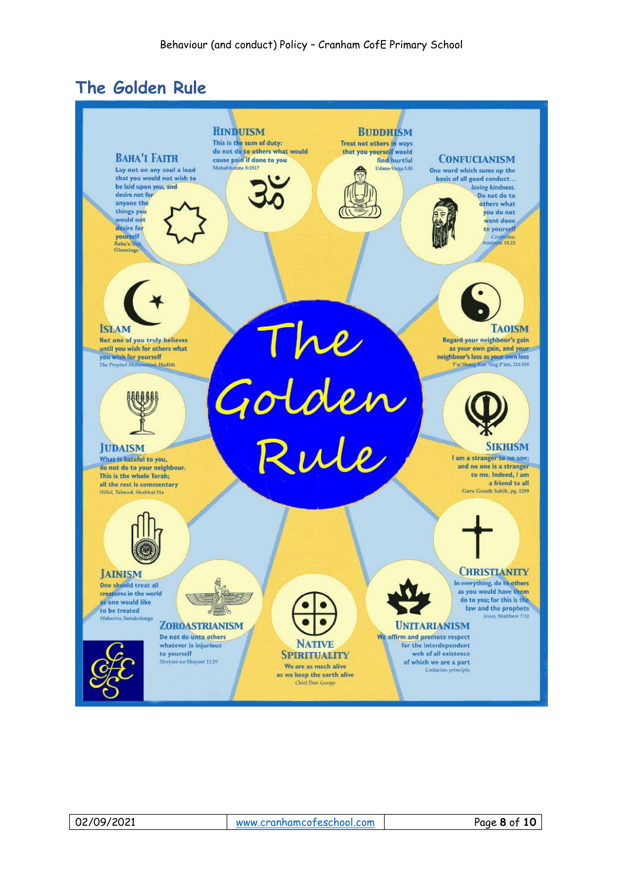# <span id="page-7-0"></span>**The Golden Rule**



| 02/09/2021 |  |
|------------|--|
|------------|--|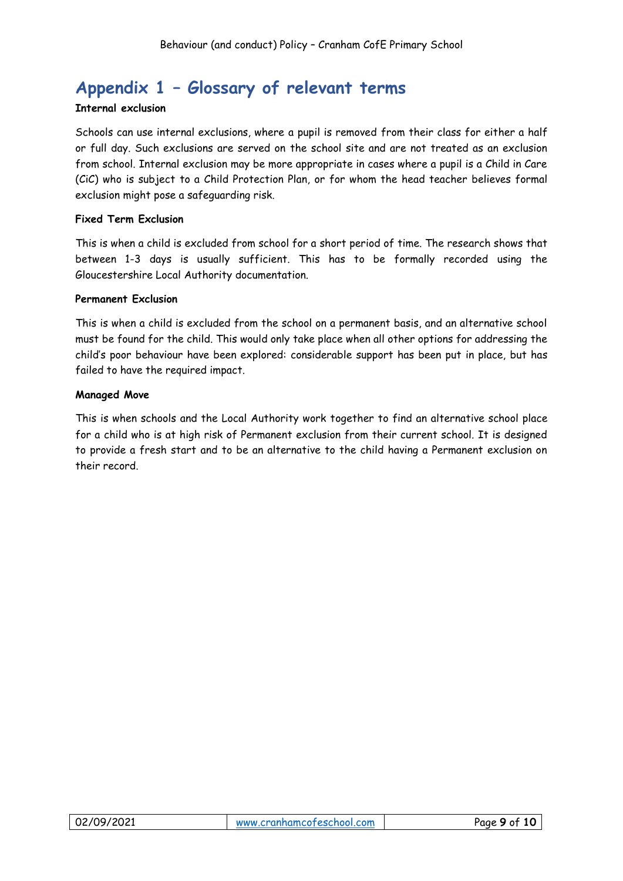# <span id="page-8-0"></span>**Appendix 1 – Glossary of relevant terms**

#### **Internal exclusion**

Schools can use internal exclusions, where a pupil is removed from their class for either a half or full day. Such exclusions are served on the school site and are not treated as an exclusion from school. Internal exclusion may be more appropriate in cases where a pupil is a Child in Care (CiC) who is subject to a Child Protection Plan, or for whom the head teacher believes formal exclusion might pose a safeguarding risk.

#### **Fixed Term Exclusion**

This is when a child is excluded from school for a short period of time. The research shows that between 1-3 days is usually sufficient. This has to be formally recorded using the Gloucestershire Local Authority documentation.

#### **Permanent Exclusion**

This is when a child is excluded from the school on a permanent basis, and an alternative school must be found for the child. This would only take place when all other options for addressing the child's poor behaviour have been explored: considerable support has been put in place, but has failed to have the required impact.

#### **Managed Move**

This is when schools and the Local Authority work together to find an alternative school place for a child who is at high risk of Permanent exclusion from their current school. It is designed to provide a fresh start and to be an alternative to the child having a Permanent exclusion on their record.

| 02/09/2021 | www.cranhamcofeschool.com | Page 9 of 10 |
|------------|---------------------------|--------------|
|            |                           |              |